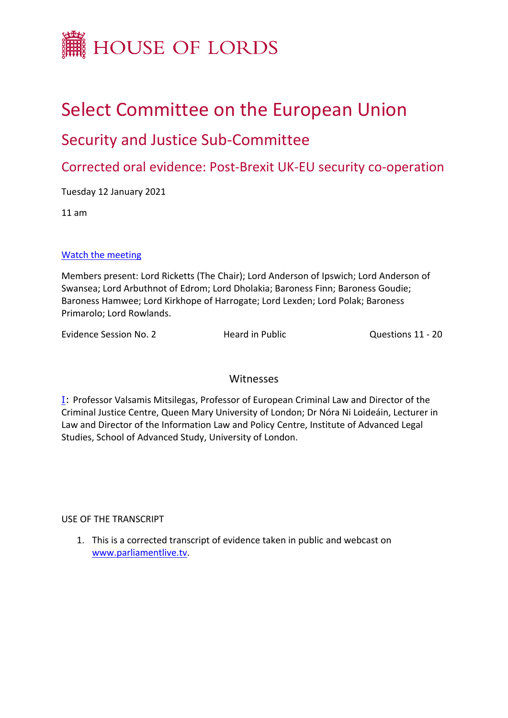

# Select Committee on the European Union

## Security and Justice Sub-Committee

Corrected oral evidence: Post-Brexit UK-EU security co-operation

Tuesday 12 January 2021

11 am

#### [Watch](https://parliamentlive.tv/event/index/c7bcea77-c964-4ac0-8955-ddf104a2b81f?in=11:02:46) [the](https://parliamentlive.tv/event/index/c7bcea77-c964-4ac0-8955-ddf104a2b81f?in=11:02:46) [meeting](https://parliamentlive.tv/event/index/c7bcea77-c964-4ac0-8955-ddf104a2b81f?in=11:02:46)

Members present: Lord Ricketts (The Chair); Lord Anderson of Ipswich; Lord Anderson of Swansea; Lord Arbuthnot of Edrom; Lord Dholakia; Baroness Finn; Baroness Goudie; Baroness Hamwee; Lord Kirkhope of Harrogate; Lord Lexden; Lord Polak; Baroness Primarolo; Lord Rowlands.

Evidence Session No. 2 **Heard in Public** Cuestions 11 - 20

### Witnesses

[I:](#page-1-0) Professor Valsamis Mitsilegas, Professor of European Criminal Law and Director of the Criminal Justice Centre, Queen Mary University of London; Dr Nóra Ni Loideáin, Lecturer in Law and Director of the Information Law and Policy Centre, Institute of Advanced Legal Studies, School of Advanced Study, University of London.

USE OF THE TRANSCRIPT

1. This is a corrected transcript of evidence taken in public and webcast on [www.parliamentlive.tv.](http://www.parliamentlive.tv/)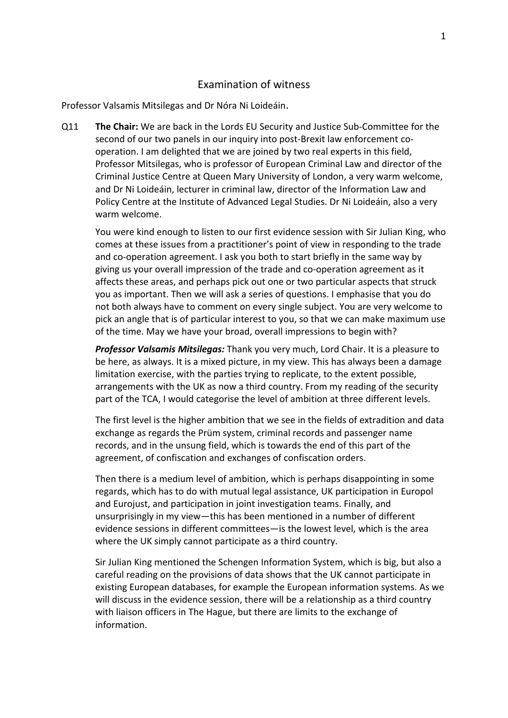#### <span id="page-1-0"></span>Examination of witness

Professor Valsamis Mitsilegas and Dr Nóra Ni Loideáin.

Q11 **The Chair:** We are back in the Lords EU Security and Justice Sub-Committee for the second of our two panels in our inquiry into post-Brexit law enforcement cooperation. I am delighted that we are joined by two real experts in this field, Professor Mitsilegas, who is professor of European Criminal Law and director of the Criminal Justice Centre at Queen Mary University of London, a very warm welcome, and Dr Ni Loideáin, lecturer in criminal law, director of the Information Law and Policy Centre at the Institute of Advanced Legal Studies. Dr Ni Loideáin, also a very warm welcome.

You were kind enough to listen to our first evidence session with Sir Julian King, who comes at these issues from a practitioner's point of view in responding to the trade and co-operation agreement. I ask you both to start briefly in the same way by giving us your overall impression of the trade and co-operation agreement as it affects these areas, and perhaps pick out one or two particular aspects that struck you as important. Then we will ask a series of questions. I emphasise that you do not both always have to comment on every single subject. You are very welcome to pick an angle that is of particular interest to you, so that we can make maximum use of the time. May we have your broad, overall impressions to begin with?

*Professor Valsamis Mitsilegas:* Thank you very much, Lord Chair. It is a pleasure to be here, as always. It is a mixed picture, in my view. This has always been a damage limitation exercise, with the parties trying to replicate, to the extent possible, arrangements with the UK as now a third country. From my reading of the security part of the TCA, I would categorise the level of ambition at three different levels.

The first level is the higher ambition that we see in the fields of extradition and data exchange as regards the Prüm system, criminal records and passenger name records, and in the unsung field, which is towards the end of this part of the agreement, of confiscation and exchanges of confiscation orders.

Then there is a medium level of ambition, which is perhaps disappointing in some regards, which has to do with mutual legal assistance, UK participation in Europol and Eurojust, and participation in joint investigation teams. Finally, and unsurprisingly in my view—this has been mentioned in a number of different evidence sessions in different committees—is the lowest level, which is the area where the UK simply cannot participate as a third country.

Sir Julian King mentioned the Schengen Information System, which is big, but also a careful reading on the provisions of data shows that the UK cannot participate in existing European databases, for example the European information systems. As we will discuss in the evidence session, there will be a relationship as a third country with liaison officers in The Hague, but there are limits to the exchange of information.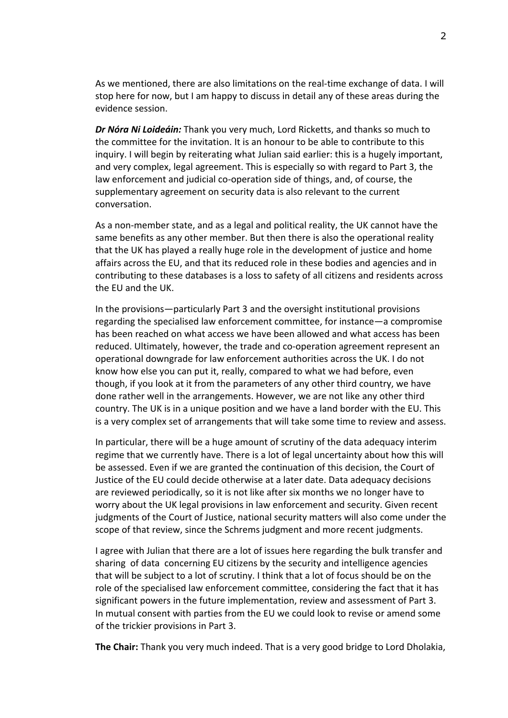As we mentioned, there are also limitations on the real-time exchange of data. I will stop here for now, but I am happy to discuss in detail any of these areas during the evidence session.

*Dr Nóra Ni Loideáin:* Thank you very much, Lord Ricketts, and thanks so much to the committee for the invitation. It is an honour to be able to contribute to this inquiry. I will begin by reiterating what Julian said earlier: this is a hugely important, and very complex, legal agreement. This is especially so with regard to Part 3, the law enforcement and judicial co-operation side of things, and, of course, the supplementary agreement on security data is also relevant to the current conversation.

As a non-member state, and as a legal and political reality, the UK cannot have the same benefits as any other member. But then there is also the operational reality that the UK has played a really huge role in the development of justice and home affairs across the EU, and that its reduced role in these bodies and agencies and in contributing to these databases is a loss to safety of all citizens and residents across the EU and the UK.

In the provisions—particularly Part 3 and the oversight institutional provisions regarding the specialised law enforcement committee, for instance—a compromise has been reached on what access we have been allowed and what access has been reduced. Ultimately, however, the trade and co-operation agreement represent an operational downgrade for law enforcement authorities across the UK. I do not know how else you can put it, really, compared to what we had before, even though, if you look at it from the parameters of any other third country, we have done rather well in the arrangements. However, we are not like any other third country. The UK is in a unique position and we have a land border with the EU. This is a very complex set of arrangements that will take some time to review and assess.

In particular, there will be a huge amount of scrutiny of the data adequacy interim regime that we currently have. There is a lot of legal uncertainty about how this will be assessed. Even if we are granted the continuation of this decision, the Court of Justice of the EU could decide otherwise at a later date. Data adequacy decisions are reviewed periodically, so it is not like after six months we no longer have to worry about the UK legal provisions in law enforcement and security. Given recent judgments of the Court of Justice, national security matters will also come under the scope of that review, since the Schrems judgment and more recent judgments.

I agree with Julian that there are a lot of issues here regarding the bulk transfer and sharing of data concerning EU citizens by the security and intelligence agencies that will be subject to a lot of scrutiny. I think that a lot of focus should be on the role of the specialised law enforcement committee, considering the fact that it has significant powers in the future implementation, review and assessment of Part 3. In mutual consent with parties from the EU we could look to revise or amend some of the trickier provisions in Part 3.

**The Chair:** Thank you very much indeed. That is a very good bridge to Lord Dholakia,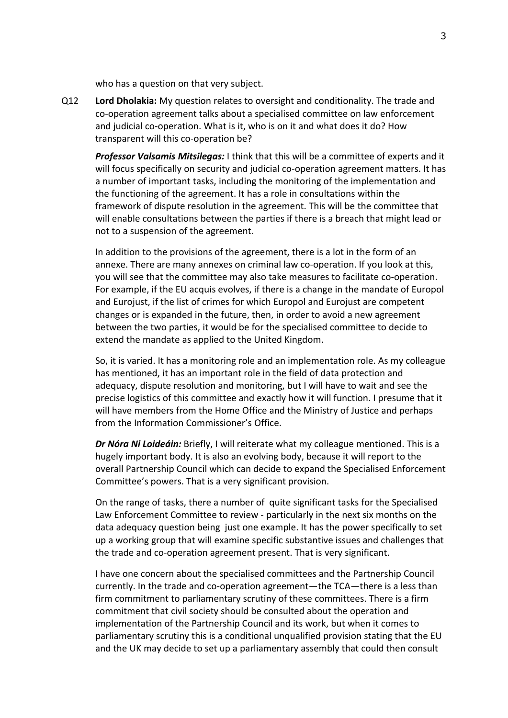who has a question on that very subject.

Q12 **Lord Dholakia:** My question relates to oversight and conditionality. The trade and co-operation agreement talks about a specialised committee on law enforcement and judicial co-operation. What is it, who is on it and what does it do? How transparent will this co-operation be?

*Professor Valsamis Mitsilegas:* I think that this will be a committee of experts and it will focus specifically on security and judicial co-operation agreement matters. It has a number of important tasks, including the monitoring of the implementation and the functioning of the agreement. It has a role in consultations within the framework of dispute resolution in the agreement. This will be the committee that will enable consultations between the parties if there is a breach that might lead or not to a suspension of the agreement.

In addition to the provisions of the agreement, there is a lot in the form of an annexe. There are many annexes on criminal law co-operation. If you look at this, you will see that the committee may also take measures to facilitate co-operation. For example, if the EU acquis evolves, if there is a change in the mandate of Europol and Eurojust, if the list of crimes for which Europol and Eurojust are competent changes or is expanded in the future, then, in order to avoid a new agreement between the two parties, it would be for the specialised committee to decide to extend the mandate as applied to the United Kingdom.

So, it is varied. It has a monitoring role and an implementation role. As my colleague has mentioned, it has an important role in the field of data protection and adequacy, dispute resolution and monitoring, but I will have to wait and see the precise logistics of this committee and exactly how it will function. I presume that it will have members from the Home Office and the Ministry of Justice and perhaps from the Information Commissioner's Office.

*Dr Nóra Ni Loideáin:* Briefly, I will reiterate what my colleague mentioned. This is a hugely important body. It is also an evolving body, because it will report to the overall Partnership Council which can decide to expand the Specialised Enforcement Committee's powers. That is a very significant provision.

On the range of tasks, there a number of quite significant tasks for the Specialised Law Enforcement Committee to review - particularly in the next six months on the data adequacy question being just one example. It has the power specifically to set up a working group that will examine specific substantive issues and challenges that the trade and co-operation agreement present. That is very significant.

I have one concern about the specialised committees and the Partnership Council currently. In the trade and co-operation agreement—the TCA—there is a less than firm commitment to parliamentary scrutiny of these committees. There is a firm commitment that civil society should be consulted about the operation and implementation of the Partnership Council and its work, but when it comes to parliamentary scrutiny this is a conditional unqualified provision stating that the EU and the UK may decide to set up a parliamentary assembly that could then consult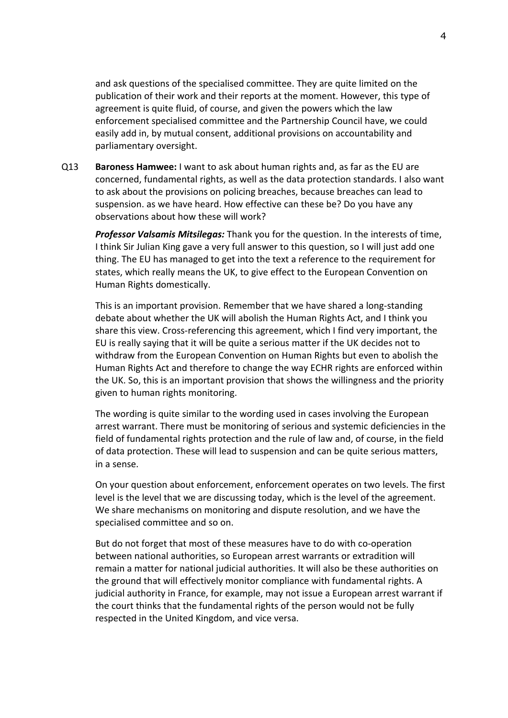and ask questions of the specialised committee. They are quite limited on the publication of their work and their reports at the moment. However, this type of agreement is quite fluid, of course, and given the powers which the law enforcement specialised committee and the Partnership Council have, we could easily add in, by mutual consent, additional provisions on accountability and parliamentary oversight.

Q13 **Baroness Hamwee:** I want to ask about human rights and, as far as the EU are concerned, fundamental rights, as well as the data protection standards. I also want to ask about the provisions on policing breaches, because breaches can lead to suspension. as we have heard. How effective can these be? Do you have any observations about how these will work?

*Professor Valsamis Mitsilegas:* Thank you for the question. In the interests of time, I think Sir Julian King gave a very full answer to this question, so I will just add one thing. The EU has managed to get into the text a reference to the requirement for states, which really means the UK, to give effect to the European Convention on Human Rights domestically.

This is an important provision. Remember that we have shared a long-standing debate about whether the UK will abolish the Human Rights Act, and I think you share this view. Cross-referencing this agreement, which I find very important, the EU is really saying that it will be quite a serious matter if the UK decides not to withdraw from the European Convention on Human Rights but even to abolish the Human Rights Act and therefore to change the way ECHR rights are enforced within the UK. So, this is an important provision that shows the willingness and the priority given to human rights monitoring.

The wording is quite similar to the wording used in cases involving the European arrest warrant. There must be monitoring of serious and systemic deficiencies in the field of fundamental rights protection and the rule of law and, of course, in the field of data protection. These will lead to suspension and can be quite serious matters, in a sense.

On your question about enforcement, enforcement operates on two levels. The first level is the level that we are discussing today, which is the level of the agreement. We share mechanisms on monitoring and dispute resolution, and we have the specialised committee and so on.

But do not forget that most of these measures have to do with co-operation between national authorities, so European arrest warrants or extradition will remain a matter for national judicial authorities. It will also be these authorities on the ground that will effectively monitor compliance with fundamental rights. A judicial authority in France, for example, may not issue a European arrest warrant if the court thinks that the fundamental rights of the person would not be fully respected in the United Kingdom, and vice versa.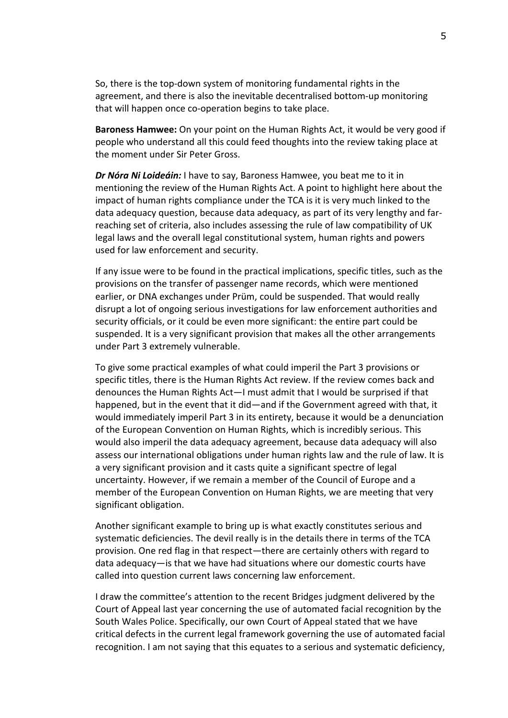So, there is the top-down system of monitoring fundamental rights in the agreement, and there is also the inevitable decentralised bottom-up monitoring that will happen once co-operation begins to take place.

**Baroness Hamwee:** On your point on the Human Rights Act, it would be very good if people who understand all this could feed thoughts into the review taking place at the moment under Sir Peter Gross.

*Dr Nóra Ni Loideáin:* I have to say, Baroness Hamwee, you beat me to it in mentioning the review of the Human Rights Act. A point to highlight here about the impact of human rights compliance under the TCA is it is very much linked to the data adequacy question, because data adequacy, as part of its very lengthy and farreaching set of criteria, also includes assessing the rule of law compatibility of UK legal laws and the overall legal constitutional system, human rights and powers used for law enforcement and security.

If any issue were to be found in the practical implications, specific titles, such as the provisions on the transfer of passenger name records, which were mentioned earlier, or DNA exchanges under Prüm, could be suspended. That would really disrupt a lot of ongoing serious investigations for law enforcement authorities and security officials, or it could be even more significant: the entire part could be suspended. It is a very significant provision that makes all the other arrangements under Part 3 extremely vulnerable.

To give some practical examples of what could imperil the Part 3 provisions or specific titles, there is the Human Rights Act review. If the review comes back and denounces the Human Rights Act—I must admit that I would be surprised if that happened, but in the event that it did—and if the Government agreed with that, it would immediately imperil Part 3 in its entirety, because it would be a denunciation of the European Convention on Human Rights, which is incredibly serious. This would also imperil the data adequacy agreement, because data adequacy will also assess our international obligations under human rights law and the rule of law. It is a very significant provision and it casts quite a significant spectre of legal uncertainty. However, if we remain a member of the Council of Europe and a member of the European Convention on Human Rights, we are meeting that very significant obligation.

Another significant example to bring up is what exactly constitutes serious and systematic deficiencies. The devil really is in the details there in terms of the TCA provision. One red flag in that respect—there are certainly others with regard to data adequacy—is that we have had situations where our domestic courts have called into question current laws concerning law enforcement.

I draw the committee's attention to the recent Bridges judgment delivered by the Court of Appeal last year concerning the use of automated facial recognition by the South Wales Police. Specifically, our own Court of Appeal stated that we have critical defects in the current legal framework governing the use of automated facial recognition. I am not saying that this equates to a serious and systematic deficiency,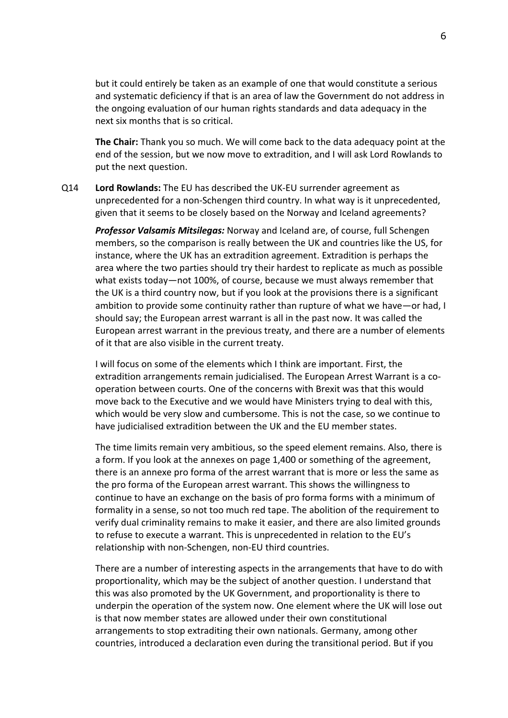but it could entirely be taken as an example of one that would constitute a serious and systematic deficiency if that is an area of law the Government do not address in the ongoing evaluation of our human rights standards and data adequacy in the next six months that is so critical.

**The Chair:** Thank you so much. We will come back to the data adequacy point at the end of the session, but we now move to extradition, and I will ask Lord Rowlands to put the next question.

Q14 **Lord Rowlands:** The EU has described the UK-EU surrender agreement as unprecedented for a non-Schengen third country. In what way is it unprecedented, given that it seems to be closely based on the Norway and Iceland agreements?

*Professor Valsamis Mitsilegas:* Norway and Iceland are, of course, full Schengen members, so the comparison is really between the UK and countries like the US, for instance, where the UK has an extradition agreement. Extradition is perhaps the area where the two parties should try their hardest to replicate as much as possible what exists today—not 100%, of course, because we must always remember that the UK is a third country now, but if you look at the provisions there is a significant ambition to provide some continuity rather than rupture of what we have—or had, I should say; the European arrest warrant is all in the past now. It was called the European arrest warrant in the previous treaty, and there are a number of elements of it that are also visible in the current treaty.

I will focus on some of the elements which I think are important. First, the extradition arrangements remain judicialised. The European Arrest Warrant is a cooperation between courts. One of the concerns with Brexit was that this would move back to the Executive and we would have Ministers trying to deal with this, which would be very slow and cumbersome. This is not the case, so we continue to have judicialised extradition between the UK and the EU member states.

The time limits remain very ambitious, so the speed element remains. Also, there is a form. If you look at the annexes on page 1,400 or something of the agreement, there is an annexe pro forma of the arrest warrant that is more or less the same as the pro forma of the European arrest warrant. This shows the willingness to continue to have an exchange on the basis of pro forma forms with a minimum of formality in a sense, so not too much red tape. The abolition of the requirement to verify dual criminality remains to make it easier, and there are also limited grounds to refuse to execute a warrant. This is unprecedented in relation to the EU's relationship with non-Schengen, non-EU third countries.

There are a number of interesting aspects in the arrangements that have to do with proportionality, which may be the subject of another question. I understand that this was also promoted by the UK Government, and proportionality is there to underpin the operation of the system now. One element where the UK will lose out is that now member states are allowed under their own constitutional arrangements to stop extraditing their own nationals. Germany, among other countries, introduced a declaration even during the transitional period. But if you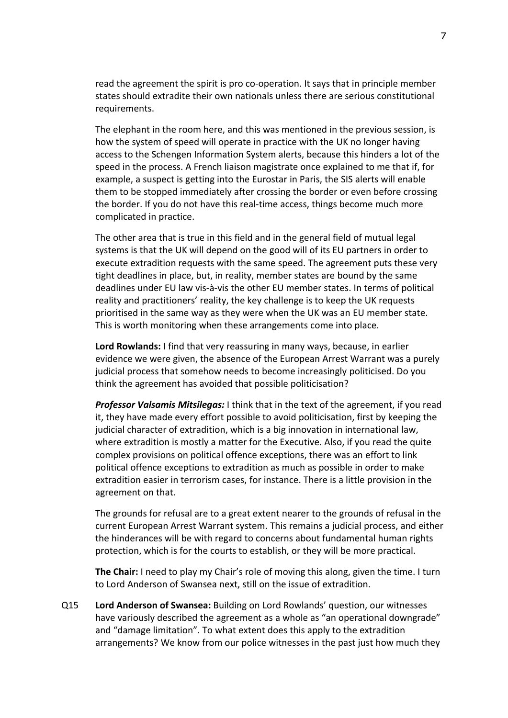read the agreement the spirit is pro co-operation. It says that in principle member states should extradite their own nationals unless there are serious constitutional requirements.

The elephant in the room here, and this was mentioned in the previous session, is how the system of speed will operate in practice with the UK no longer having access to the Schengen Information System alerts, because this hinders a lot of the speed in the process. A French liaison magistrate once explained to me that if, for example, a suspect is getting into the Eurostar in Paris, the SIS alerts will enable them to be stopped immediately after crossing the border or even before crossing the border. If you do not have this real-time access, things become much more complicated in practice.

The other area that is true in this field and in the general field of mutual legal systems is that the UK will depend on the good will of its EU partners in order to execute extradition requests with the same speed. The agreement puts these very tight deadlines in place, but, in reality, member states are bound by the same deadlines under EU law vis-à-vis the other EU member states. In terms of political reality and practitioners' reality, the key challenge is to keep the UK requests prioritised in the same way as they were when the UK was an EU member state. This is worth monitoring when these arrangements come into place.

**Lord Rowlands:** I find that very reassuring in many ways, because, in earlier evidence we were given, the absence of the European Arrest Warrant was a purely judicial process that somehow needs to become increasingly politicised. Do you think the agreement has avoided that possible politicisation?

*Professor Valsamis Mitsilegas:* I think that in the text of the agreement, if you read it, they have made every effort possible to avoid politicisation, first by keeping the judicial character of extradition, which is a big innovation in international law, where extradition is mostly a matter for the Executive. Also, if you read the quite complex provisions on political offence exceptions, there was an effort to link political offence exceptions to extradition as much as possible in order to make extradition easier in terrorism cases, for instance. There is a little provision in the agreement on that.

The grounds for refusal are to a great extent nearer to the grounds of refusal in the current European Arrest Warrant system. This remains a judicial process, and either the hinderances will be with regard to concerns about fundamental human rights protection, which is for the courts to establish, or they will be more practical.

**The Chair:** I need to play my Chair's role of moving this along, given the time. I turn to Lord Anderson of Swansea next, still on the issue of extradition.

Q15 **Lord Anderson of Swansea:** Building on Lord Rowlands' question, our witnesses have variously described the agreement as a whole as "an operational downgrade" and "damage limitation". To what extent does this apply to the extradition arrangements? We know from our police witnesses in the past just how much they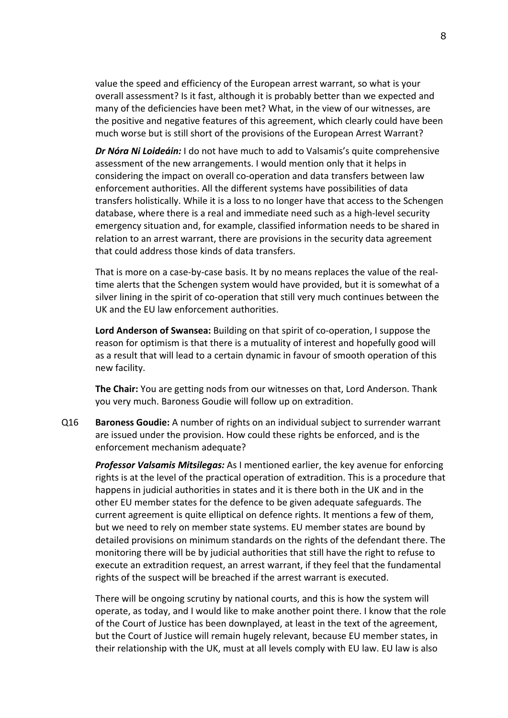value the speed and efficiency of the European arrest warrant, so what is your overall assessment? Is it fast, although it is probably better than we expected and many of the deficiencies have been met? What, in the view of our witnesses, are the positive and negative features of this agreement, which clearly could have been much worse but is still short of the provisions of the European Arrest Warrant?

*Dr Nóra Ni Loideáin:* I do not have much to add to Valsamis's quite comprehensive assessment of the new arrangements. I would mention only that it helps in considering the impact on overall co-operation and data transfers between law enforcement authorities. All the different systems have possibilities of data transfers holistically. While it is a loss to no longer have that access to the Schengen database, where there is a real and immediate need such as a high-level security emergency situation and, for example, classified information needs to be shared in relation to an arrest warrant, there are provisions in the security data agreement that could address those kinds of data transfers.

That is more on a case-by-case basis. It by no means replaces the value of the realtime alerts that the Schengen system would have provided, but it is somewhat of a silver lining in the spirit of co-operation that still very much continues between the UK and the EU law enforcement authorities.

**Lord Anderson of Swansea:** Building on that spirit of co-operation, I suppose the reason for optimism is that there is a mutuality of interest and hopefully good will as a result that will lead to a certain dynamic in favour of smooth operation of this new facility.

**The Chair:** You are getting nods from our witnesses on that, Lord Anderson. Thank you very much. Baroness Goudie will follow up on extradition.

Q16 **Baroness Goudie:** A number of rights on an individual subject to surrender warrant are issued under the provision. How could these rights be enforced, and is the enforcement mechanism adequate?

*Professor Valsamis Mitsilegas:* As I mentioned earlier, the key avenue for enforcing rights is at the level of the practical operation of extradition. This is a procedure that happens in judicial authorities in states and it is there both in the UK and in the other EU member states for the defence to be given adequate safeguards. The current agreement is quite elliptical on defence rights. It mentions a few of them, but we need to rely on member state systems. EU member states are bound by detailed provisions on minimum standards on the rights of the defendant there. The monitoring there will be by judicial authorities that still have the right to refuse to execute an extradition request, an arrest warrant, if they feel that the fundamental rights of the suspect will be breached if the arrest warrant is executed.

There will be ongoing scrutiny by national courts, and this is how the system will operate, as today, and I would like to make another point there. I know that the role of the Court of Justice has been downplayed, at least in the text of the agreement, but the Court of Justice will remain hugely relevant, because EU member states, in their relationship with the UK, must at all levels comply with EU law. EU law is also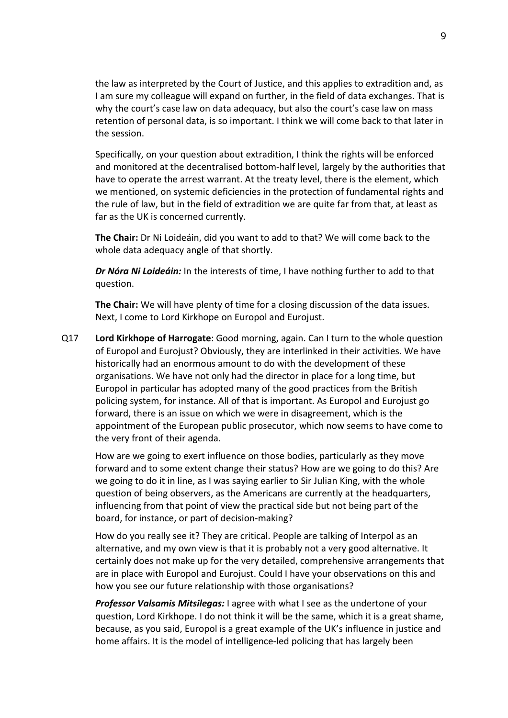the law as interpreted by the Court of Justice, and this applies to extradition and, as I am sure my colleague will expand on further, in the field of data exchanges. That is why the court's case law on data adequacy, but also the court's case law on mass retention of personal data, is so important. I think we will come back to that later in the session.

Specifically, on your question about extradition, I think the rights will be enforced and monitored at the decentralised bottom-half level, largely by the authorities that have to operate the arrest warrant. At the treaty level, there is the element, which we mentioned, on systemic deficiencies in the protection of fundamental rights and the rule of law, but in the field of extradition we are quite far from that, at least as far as the UK is concerned currently.

**The Chair:** Dr Ni Loideáin, did you want to add to that? We will come back to the whole data adequacy angle of that shortly.

*Dr Nóra Ni Loideáin:* In the interests of time, I have nothing further to add to that question.

**The Chair:** We will have plenty of time for a closing discussion of the data issues. Next, I come to Lord Kirkhope on Europol and Eurojust.

Q17 **Lord Kirkhope of Harrogate**: Good morning, again. Can I turn to the whole question of Europol and Eurojust? Obviously, they are interlinked in their activities. We have historically had an enormous amount to do with the development of these organisations. We have not only had the director in place for a long time, but Europol in particular has adopted many of the good practices from the British policing system, for instance. All of that is important. As Europol and Eurojust go forward, there is an issue on which we were in disagreement, which is the appointment of the European public prosecutor, which now seems to have come to the very front of their agenda.

How are we going to exert influence on those bodies, particularly as they move forward and to some extent change their status? How are we going to do this? Are we going to do it in line, as I was saying earlier to Sir Julian King, with the whole question of being observers, as the Americans are currently at the headquarters, influencing from that point of view the practical side but not being part of the board, for instance, or part of decision-making?

How do you really see it? They are critical. People are talking of Interpol as an alternative, and my own view is that it is probably not a very good alternative. It certainly does not make up for the very detailed, comprehensive arrangements that are in place with Europol and Eurojust. Could I have your observations on this and how you see our future relationship with those organisations?

*Professor Valsamis Mitsilegas:* I agree with what I see as the undertone of your question, Lord Kirkhope. I do not think it will be the same, which it is a great shame, because, as you said, Europol is a great example of the UK's influence in justice and home affairs. It is the model of intelligence-led policing that has largely been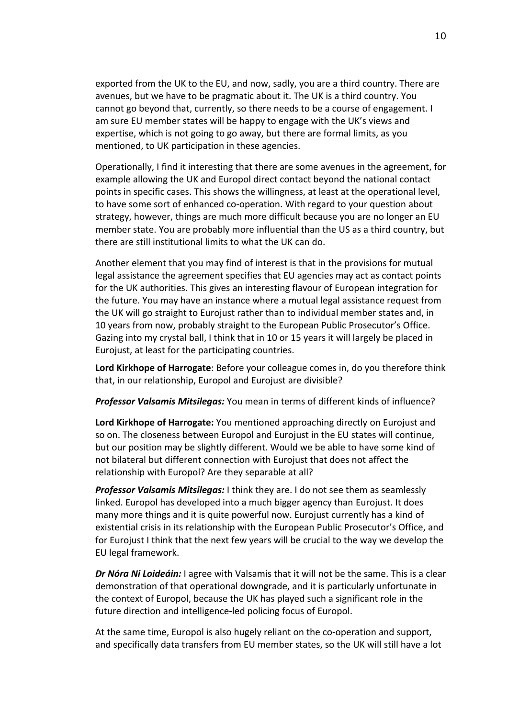exported from the UK to the EU, and now, sadly, you are a third country. There are avenues, but we have to be pragmatic about it. The UK is a third country. You cannot go beyond that, currently, so there needs to be a course of engagement. I am sure EU member states will be happy to engage with the UK's views and expertise, which is not going to go away, but there are formal limits, as you mentioned, to UK participation in these agencies.

Operationally, I find it interesting that there are some avenues in the agreement, for example allowing the UK and Europol direct contact beyond the national contact points in specific cases. This shows the willingness, at least at the operational level, to have some sort of enhanced co-operation. With regard to your question about strategy, however, things are much more difficult because you are no longer an EU member state. You are probably more influential than the US as a third country, but there are still institutional limits to what the UK can do.

Another element that you may find of interest is that in the provisions for mutual legal assistance the agreement specifies that EU agencies may act as contact points for the UK authorities. This gives an interesting flavour of European integration for the future. You may have an instance where a mutual legal assistance request from the UK will go straight to Eurojust rather than to individual member states and, in 10 years from now, probably straight to the European Public Prosecutor's Office. Gazing into my crystal ball, I think that in 10 or 15 years it will largely be placed in Eurojust, at least for the participating countries.

**Lord Kirkhope of Harrogate**: Before your colleague comes in, do you therefore think that, in our relationship, Europol and Eurojust are divisible?

*Professor Valsamis Mitsilegas:* You mean in terms of different kinds of influence?

**Lord Kirkhope of Harrogate:** You mentioned approaching directly on Eurojust and so on. The closeness between Europol and Eurojust in the EU states will continue, but our position may be slightly different. Would we be able to have some kind of not bilateral but different connection with Eurojust that does not affect the relationship with Europol? Are they separable at all?

*Professor Valsamis Mitsilegas:* I think they are. I do not see them as seamlessly linked. Europol has developed into a much bigger agency than Eurojust. It does many more things and it is quite powerful now. Eurojust currently has a kind of existential crisis in its relationship with the European Public Prosecutor's Office, and for Eurojust I think that the next few years will be crucial to the way we develop the EU legal framework.

*Dr Nóra Ni Loideáin:* I agree with Valsamis that it will not be the same. This is a clear demonstration of that operational downgrade, and it is particularly unfortunate in the context of Europol, because the UK has played such a significant role in the future direction and intelligence-led policing focus of Europol.

At the same time, Europol is also hugely reliant on the co-operation and support, and specifically data transfers from EU member states, so the UK will still have a lot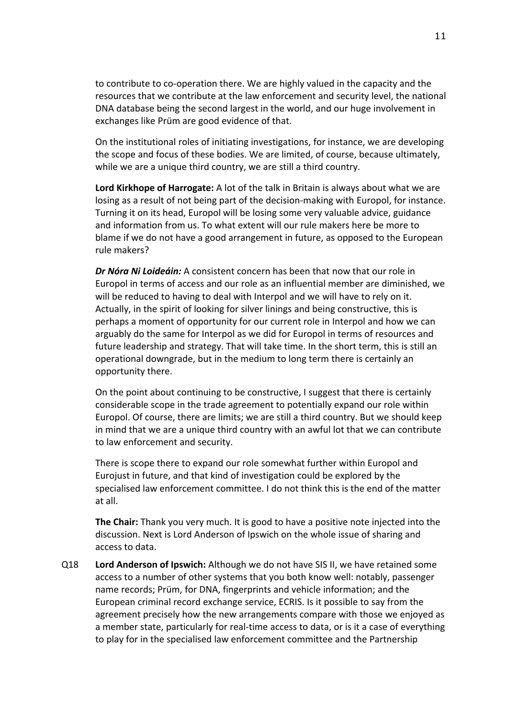to contribute to co-operation there. We are highly valued in the capacity and the resources that we contribute at the law enforcement and security level, the national DNA database being the second largest in the world, and our huge involvement in exchanges like Prüm are good evidence of that.

On the institutional roles of initiating investigations, for instance, we are developing the scope and focus of these bodies. We are limited, of course, because ultimately, while we are a unique third country, we are still a third country.

**Lord Kirkhope of Harrogate:** A lot of the talk in Britain is always about what we are losing as a result of not being part of the decision-making with Europol, for instance. Turning it on its head, Europol will be losing some very valuable advice, guidance and information from us. To what extent will our rule makers here be more to blame if we do not have a good arrangement in future, as opposed to the European rule makers?

*Dr Nóra Ni Loideáin:* A consistent concern has been that now that our role in Europol in terms of access and our role as an influential member are diminished, we will be reduced to having to deal with Interpol and we will have to rely on it. Actually, in the spirit of looking for silver linings and being constructive, this is perhaps a moment of opportunity for our current role in Interpol and how we can arguably do the same for Interpol as we did for Europol in terms of resources and future leadership and strategy. That will take time. In the short term, this is still an operational downgrade, but in the medium to long term there is certainly an opportunity there.

On the point about continuing to be constructive, I suggest that there is certainly considerable scope in the trade agreement to potentially expand our role within Europol. Of course, there are limits; we are still a third country. But we should keep in mind that we are a unique third country with an awful lot that we can contribute to law enforcement and security.

There is scope there to expand our role somewhat further within Europol and Eurojust in future, and that kind of investigation could be explored by the specialised law enforcement committee. I do not think this is the end of the matter at all.

**The Chair:** Thank you very much. It is good to have a positive note injected into the discussion. Next is Lord Anderson of Ipswich on the whole issue of sharing and access to data.

Q18 **Lord Anderson of Ipswich:** Although we do not have SIS II, we have retained some access to a number of other systems that you both know well: notably, passenger name records; Prüm, for DNA, fingerprints and vehicle information; and the European criminal record exchange service, ECRIS. Is it possible to say from the agreement precisely how the new arrangements compare with those we enjoyed as a member state, particularly for real-time access to data, or is it a case of everything to play for in the specialised law enforcement committee and the Partnership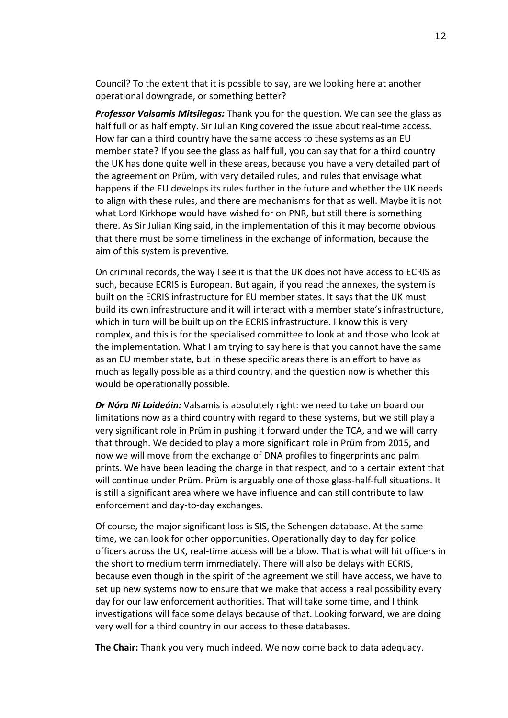Council? To the extent that it is possible to say, are we looking here at another operational downgrade, or something better?

*Professor Valsamis Mitsilegas:* Thank you for the question. We can see the glass as half full or as half empty. Sir Julian King covered the issue about real-time access. How far can a third country have the same access to these systems as an EU member state? If you see the glass as half full, you can say that for a third country the UK has done quite well in these areas, because you have a very detailed part of the agreement on Prüm, with very detailed rules, and rules that envisage what happens if the EU develops its rules further in the future and whether the UK needs to align with these rules, and there are mechanisms for that as well. Maybe it is not what Lord Kirkhope would have wished for on PNR, but still there is something there. As Sir Julian King said, in the implementation of this it may become obvious that there must be some timeliness in the exchange of information, because the aim of this system is preventive.

On criminal records, the way I see it is that the UK does not have access to ECRIS as such, because ECRIS is European. But again, if you read the annexes, the system is built on the ECRIS infrastructure for EU member states. It says that the UK must build its own infrastructure and it will interact with a member state's infrastructure, which in turn will be built up on the ECRIS infrastructure. I know this is very complex, and this is for the specialised committee to look at and those who look at the implementation. What I am trying to say here is that you cannot have the same as an EU member state, but in these specific areas there is an effort to have as much as legally possible as a third country, and the question now is whether this would be operationally possible.

*Dr Nóra Ni Loideáin:* Valsamis is absolutely right: we need to take on board our limitations now as a third country with regard to these systems, but we still play a very significant role in Prüm in pushing it forward under the TCA, and we will carry that through. We decided to play a more significant role in Prüm from 2015, and now we will move from the exchange of DNA profiles to fingerprints and palm prints. We have been leading the charge in that respect, and to a certain extent that will continue under Prüm. Prüm is arguably one of those glass-half-full situations. It is still a significant area where we have influence and can still contribute to law enforcement and day-to-day exchanges.

Of course, the major significant loss is SIS, the Schengen database. At the same time, we can look for other opportunities. Operationally day to day for police officers across the UK, real-time access will be a blow. That is what will hit officers in the short to medium term immediately. There will also be delays with ECRIS, because even though in the spirit of the agreement we still have access, we have to set up new systems now to ensure that we make that access a real possibility every day for our law enforcement authorities. That will take some time, and I think investigations will face some delays because of that. Looking forward, we are doing very well for a third country in our access to these databases.

**The Chair:** Thank you very much indeed. We now come back to data adequacy.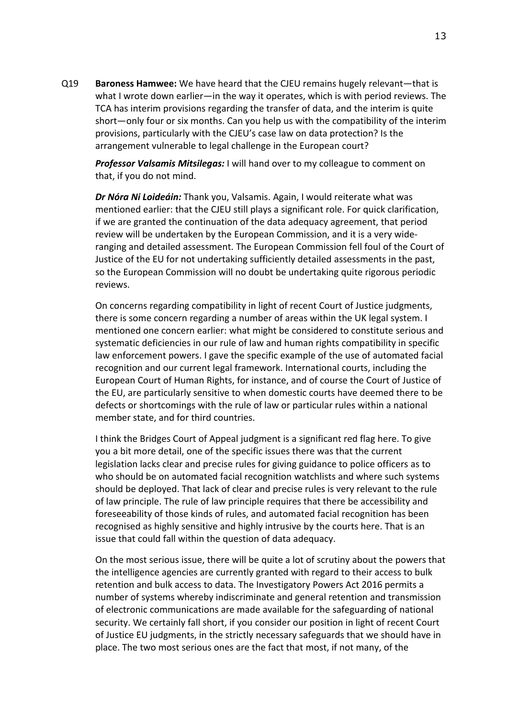Q19 **Baroness Hamwee:** We have heard that the CJEU remains hugely relevant—that is what I wrote down earlier—in the way it operates, which is with period reviews. The TCA has interim provisions regarding the transfer of data, and the interim is quite short—only four or six months. Can you help us with the compatibility of the interim provisions, particularly with the CJEU's case law on data protection? Is the arrangement vulnerable to legal challenge in the European court?

*Professor Valsamis Mitsilegas:* I will hand over to my colleague to comment on that, if you do not mind.

*Dr Nóra Ni Loideáin:* Thank you, Valsamis. Again, I would reiterate what was mentioned earlier: that the CJEU still plays a significant role. For quick clarification, if we are granted the continuation of the data adequacy agreement, that period review will be undertaken by the European Commission, and it is a very wideranging and detailed assessment. The European Commission fell foul of the Court of Justice of the EU for not undertaking sufficiently detailed assessments in the past, so the European Commission will no doubt be undertaking quite rigorous periodic reviews.

On concerns regarding compatibility in light of recent Court of Justice judgments, there is some concern regarding a number of areas within the UK legal system. I mentioned one concern earlier: what might be considered to constitute serious and systematic deficiencies in our rule of law and human rights compatibility in specific law enforcement powers. I gave the specific example of the use of automated facial recognition and our current legal framework. International courts, including the European Court of Human Rights, for instance, and of course the Court of Justice of the EU, are particularly sensitive to when domestic courts have deemed there to be defects or shortcomings with the rule of law or particular rules within a national member state, and for third countries.

I think the Bridges Court of Appeal judgment is a significant red flag here. To give you a bit more detail, one of the specific issues there was that the current legislation lacks clear and precise rules for giving guidance to police officers as to who should be on automated facial recognition watchlists and where such systems should be deployed. That lack of clear and precise rules is very relevant to the rule of law principle. The rule of law principle requires that there be accessibility and foreseeability of those kinds of rules, and automated facial recognition has been recognised as highly sensitive and highly intrusive by the courts here. That is an issue that could fall within the question of data adequacy.

On the most serious issue, there will be quite a lot of scrutiny about the powers that the intelligence agencies are currently granted with regard to their access to bulk retention and bulk access to data. The Investigatory Powers Act 2016 permits a number of systems whereby indiscriminate and general retention and transmission of electronic communications are made available for the safeguarding of national security. We certainly fall short, if you consider our position in light of recent Court of Justice EU judgments, in the strictly necessary safeguards that we should have in place. The two most serious ones are the fact that most, if not many, of the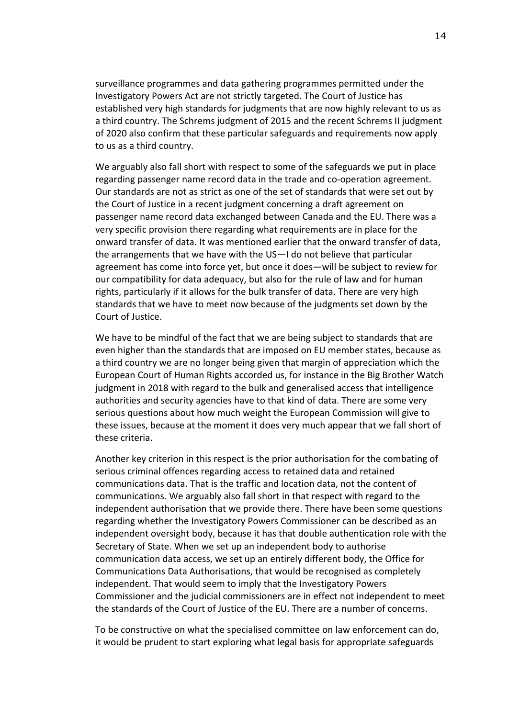surveillance programmes and data gathering programmes permitted under the Investigatory Powers Act are not strictly targeted. The Court of Justice has established very high standards for judgments that are now highly relevant to us as a third country. The Schrems judgment of 2015 and the recent Schrems II judgment of 2020 also confirm that these particular safeguards and requirements now apply to us as a third country.

We arguably also fall short with respect to some of the safeguards we put in place regarding passenger name record data in the trade and co-operation agreement. Our standards are not as strict as one of the set of standards that were set out by the Court of Justice in a recent judgment concerning a draft agreement on passenger name record data exchanged between Canada and the EU. There was a very specific provision there regarding what requirements are in place for the onward transfer of data. It was mentioned earlier that the onward transfer of data, the arrangements that we have with the US—I do not believe that particular agreement has come into force yet, but once it does—will be subject to review for our compatibility for data adequacy, but also for the rule of law and for human rights, particularly if it allows for the bulk transfer of data. There are very high standards that we have to meet now because of the judgments set down by the Court of Justice.

We have to be mindful of the fact that we are being subject to standards that are even higher than the standards that are imposed on EU member states, because as a third country we are no longer being given that margin of appreciation which the European Court of Human Rights accorded us, for instance in the Big Brother Watch judgment in 2018 with regard to the bulk and generalised access that intelligence authorities and security agencies have to that kind of data. There are some very serious questions about how much weight the European Commission will give to these issues, because at the moment it does very much appear that we fall short of these criteria.

Another key criterion in this respect is the prior authorisation for the combating of serious criminal offences regarding access to retained data and retained communications data. That is the traffic and location data, not the content of communications. We arguably also fall short in that respect with regard to the independent authorisation that we provide there. There have been some questions regarding whether the Investigatory Powers Commissioner can be described as an independent oversight body, because it has that double authentication role with the Secretary of State. When we set up an independent body to authorise communication data access, we set up an entirely different body, the Office for Communications Data Authorisations, that would be recognised as completely independent. That would seem to imply that the Investigatory Powers Commissioner and the judicial commissioners are in effect not independent to meet the standards of the Court of Justice of the EU. There are a number of concerns.

To be constructive on what the specialised committee on law enforcement can do, it would be prudent to start exploring what legal basis for appropriate safeguards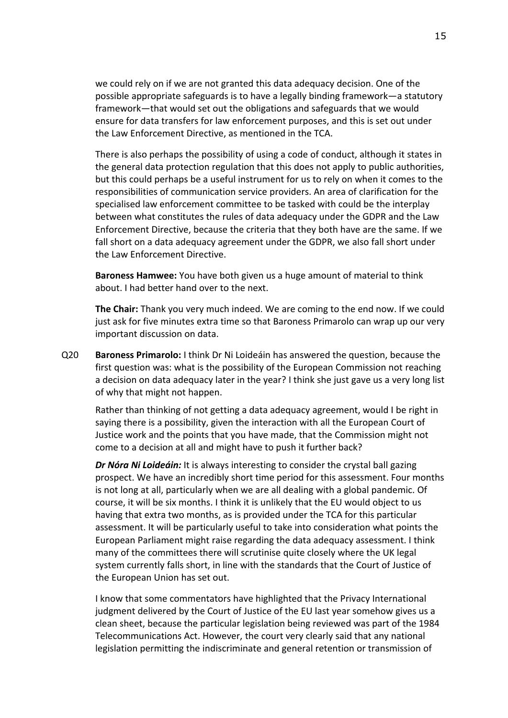we could rely on if we are not granted this data adequacy decision. One of the possible appropriate safeguards is to have a legally binding framework—a statutory framework—that would set out the obligations and safeguards that we would ensure for data transfers for law enforcement purposes, and this is set out under the Law Enforcement Directive, as mentioned in the TCA.

There is also perhaps the possibility of using a code of conduct, although it states in the general data protection regulation that this does not apply to public authorities, but this could perhaps be a useful instrument for us to rely on when it comes to the responsibilities of communication service providers. An area of clarification for the specialised law enforcement committee to be tasked with could be the interplay between what constitutes the rules of data adequacy under the GDPR and the Law Enforcement Directive, because the criteria that they both have are the same. If we fall short on a data adequacy agreement under the GDPR, we also fall short under the Law Enforcement Directive.

**Baroness Hamwee:** You have both given us a huge amount of material to think about. I had better hand over to the next.

**The Chair:** Thank you very much indeed. We are coming to the end now. If we could just ask for five minutes extra time so that Baroness Primarolo can wrap up our very important discussion on data.

Q20 **Baroness Primarolo:** I think Dr Ni Loideáin has answered the question, because the first question was: what is the possibility of the European Commission not reaching a decision on data adequacy later in the year? I think she just gave us a very long list of why that might not happen.

Rather than thinking of not getting a data adequacy agreement, would I be right in saying there is a possibility, given the interaction with all the European Court of Justice work and the points that you have made, that the Commission might not come to a decision at all and might have to push it further back?

*Dr Nóra Ni Loideáin:* It is always interesting to consider the crystal ball gazing prospect. We have an incredibly short time period for this assessment. Four months is not long at all, particularly when we are all dealing with a global pandemic. Of course, it will be six months. I think it is unlikely that the EU would object to us having that extra two months, as is provided under the TCA for this particular assessment. It will be particularly useful to take into consideration what points the European Parliament might raise regarding the data adequacy assessment. I think many of the committees there will scrutinise quite closely where the UK legal system currently falls short, in line with the standards that the Court of Justice of the European Union has set out.

I know that some commentators have highlighted that the Privacy International judgment delivered by the Court of Justice of the EU last year somehow gives us a clean sheet, because the particular legislation being reviewed was part of the 1984 Telecommunications Act. However, the court very clearly said that any national legislation permitting the indiscriminate and general retention or transmission of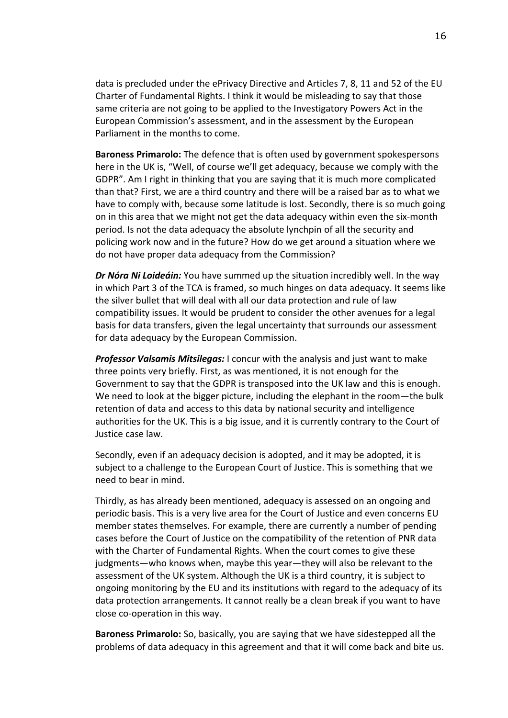data is precluded under the ePrivacy Directive and Articles 7, 8, 11 and 52 of the EU Charter of Fundamental Rights. I think it would be misleading to say that those same criteria are not going to be applied to the Investigatory Powers Act in the European Commission's assessment, and in the assessment by the European Parliament in the months to come.

**Baroness Primarolo:** The defence that is often used by government spokespersons here in the UK is, "Well, of course we'll get adequacy, because we comply with the GDPR". Am I right in thinking that you are saying that it is much more complicated than that? First, we are a third country and there will be a raised bar as to what we have to comply with, because some latitude is lost. Secondly, there is so much going on in this area that we might not get the data adequacy within even the six-month period. Is not the data adequacy the absolute lynchpin of all the security and policing work now and in the future? How do we get around a situation where we do not have proper data adequacy from the Commission?

*Dr Nóra Ni Loideáin:* You have summed up the situation incredibly well. In the way in which Part 3 of the TCA is framed, so much hinges on data adequacy. It seems like the silver bullet that will deal with all our data protection and rule of law compatibility issues. It would be prudent to consider the other avenues for a legal basis for data transfers, given the legal uncertainty that surrounds our assessment for data adequacy by the European Commission.

*Professor Valsamis Mitsilegas:* I concur with the analysis and just want to make three points very briefly. First, as was mentioned, it is not enough for the Government to say that the GDPR is transposed into the UK law and this is enough. We need to look at the bigger picture, including the elephant in the room—the bulk retention of data and access to this data by national security and intelligence authorities for the UK. This is a big issue, and it is currently contrary to the Court of Justice case law.

Secondly, even if an adequacy decision is adopted, and it may be adopted, it is subject to a challenge to the European Court of Justice. This is something that we need to bear in mind.

Thirdly, as has already been mentioned, adequacy is assessed on an ongoing and periodic basis. This is a very live area for the Court of Justice and even concerns EU member states themselves. For example, there are currently a number of pending cases before the Court of Justice on the compatibility of the retention of PNR data with the Charter of Fundamental Rights. When the court comes to give these judgments—who knows when, maybe this year—they will also be relevant to the assessment of the UK system. Although the UK is a third country, it is subject to ongoing monitoring by the EU and its institutions with regard to the adequacy of its data protection arrangements. It cannot really be a clean break if you want to have close co-operation in this way.

**Baroness Primarolo:** So, basically, you are saying that we have sidestepped all the problems of data adequacy in this agreement and that it will come back and bite us.